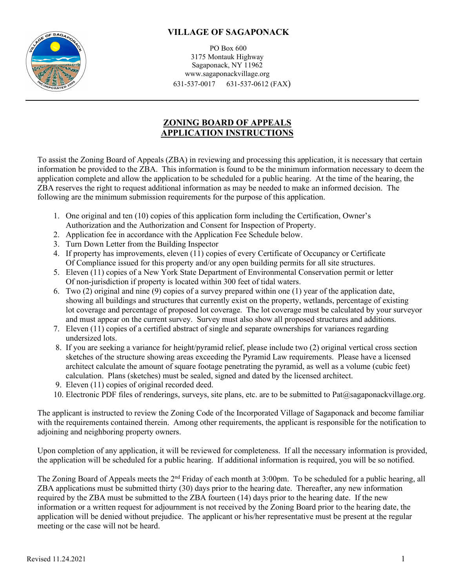

PO Box 600 3175 Montauk Highway Sagaponack, NY 11962 www.sagaponackvillage.org 631-537-0017 631-537-0612 (FAX)

## **ZONING BOARD OF APPEALS APPLICATION INSTRUCTIONS**

To assist the Zoning Board of Appeals (ZBA) in reviewing and processing this application, it is necessary that certain information be provided to the ZBA. This information is found to be the minimum information necessary to deem the application complete and allow the application to be scheduled for a public hearing. At the time of the hearing, the ZBA reserves the right to request additional information as may be needed to make an informed decision. The following are the minimum submission requirements for the purpose of this application.

- 1. One original and ten (10) copies of this application form including the Certification, Owner's Authorization and the Authorization and Consent for Inspection of Property.
- 2. Application fee in accordance with the Application Fee Schedule below.
- 3. Turn Down Letter from the Building Inspector
- 4. If property has improvements, eleven (11) copies of every Certificate of Occupancy or Certificate Of Compliance issued for this property and/or any open building permits for all site structures.
- 5. Eleven (11) copies of a New York State Department of Environmental Conservation permit or letter Of non-jurisdiction if property is located within 300 feet of tidal waters.
- 6. Two (2) original and nine (9) copies of a survey prepared within one (1) year of the application date, showing all buildings and structures that currently exist on the property, wetlands, percentage of existing lot coverage and percentage of proposed lot coverage. The lot coverage must be calculated by your surveyor and must appear on the current survey. Survey must also show all proposed structures and additions.
- 7. Eleven (11) copies of a certified abstract of single and separate ownerships for variances regarding undersized lots.
- 8. If you are seeking a variance for height/pyramid relief, please include two (2) original vertical cross section sketches of the structure showing areas exceeding the Pyramid Law requirements. Please have a licensed architect calculate the amount of square footage penetrating the pyramid, as well as a volume (cubic feet) calculation. Plans (sketches) must be sealed, signed and dated by the licensed architect.
- 9. Eleven (11) copies of original recorded deed.
- 10. Electronic PDF files of renderings, surveys, site plans, etc. are to be submitted to Pat $(\partial s$ agaponackvillage.org.

The applicant is instructed to review the Zoning Code of the Incorporated Village of Sagaponack and become familiar with the requirements contained therein. Among other requirements, the applicant is responsible for the notification to adjoining and neighboring property owners.

Upon completion of any application, it will be reviewed for completeness. If all the necessary information is provided, the application will be scheduled for a public hearing. If additional information is required, you will be so notified.

The Zoning Board of Appeals meets the 2nd Friday of each month at 3:00pm. To be scheduled for a public hearing, all ZBA applications must be submitted thirty (30) days prior to the hearing date. Thereafter, any new information required by the ZBA must be submitted to the ZBA fourteen (14) days prior to the hearing date. If the new information or a written request for adjournment is not received by the Zoning Board prior to the hearing date, the application will be denied without prejudice. The applicant or his/her representative must be present at the regular meeting or the case will not be heard.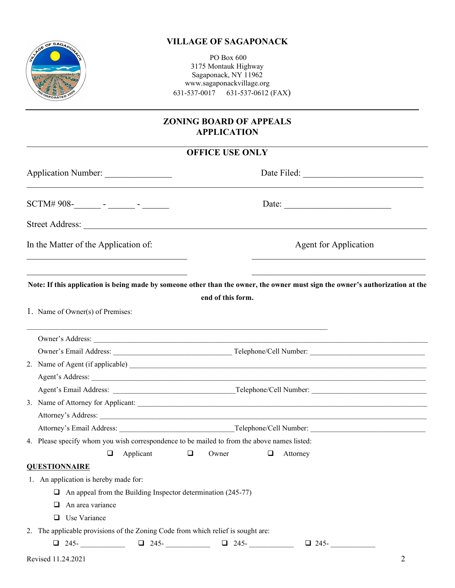

PO Box 600 3175 Montauk Highway Sagaponack, NY 11962 www.sagaponackvillage.org 631-537-0017 631-537-0612 (FAX)

## **ZONING BOARD OF APPEALS APPLICATION**

# **OFFICE USE ONLY**

| Application Number:                                                                                                           |                   |                                                                                                                                                                                                                                                                                                                                                                                                                                                   |
|-------------------------------------------------------------------------------------------------------------------------------|-------------------|---------------------------------------------------------------------------------------------------------------------------------------------------------------------------------------------------------------------------------------------------------------------------------------------------------------------------------------------------------------------------------------------------------------------------------------------------|
|                                                                                                                               |                   | Date: $\frac{1}{\sqrt{1-\frac{1}{2}} \cdot \frac{1}{2} \cdot \frac{1}{2} \cdot \frac{1}{2} \cdot \frac{1}{2} \cdot \frac{1}{2} \cdot \frac{1}{2} \cdot \frac{1}{2} \cdot \frac{1}{2} \cdot \frac{1}{2} \cdot \frac{1}{2} \cdot \frac{1}{2} \cdot \frac{1}{2} \cdot \frac{1}{2} \cdot \frac{1}{2} \cdot \frac{1}{2} \cdot \frac{1}{2} \cdot \frac{1}{2} \cdot \frac{1}{2} \cdot \frac{1}{2} \cdot \frac{1}{2} \cdot \frac{1}{2} \cdot \frac{1}{2}$ |
|                                                                                                                               |                   |                                                                                                                                                                                                                                                                                                                                                                                                                                                   |
| In the Matter of the Application of:                                                                                          |                   | <b>Agent for Application</b>                                                                                                                                                                                                                                                                                                                                                                                                                      |
| Note: If this application is being made by someone other than the owner, the owner must sign the owner's authorization at the |                   |                                                                                                                                                                                                                                                                                                                                                                                                                                                   |
|                                                                                                                               | end of this form. |                                                                                                                                                                                                                                                                                                                                                                                                                                                   |
| 1. Name of Owner(s) of Premises:                                                                                              |                   |                                                                                                                                                                                                                                                                                                                                                                                                                                                   |
| Owner's Address:                                                                                                              |                   |                                                                                                                                                                                                                                                                                                                                                                                                                                                   |
|                                                                                                                               |                   |                                                                                                                                                                                                                                                                                                                                                                                                                                                   |
| 2. Name of Agent (if applicable)                                                                                              |                   |                                                                                                                                                                                                                                                                                                                                                                                                                                                   |
|                                                                                                                               |                   |                                                                                                                                                                                                                                                                                                                                                                                                                                                   |
|                                                                                                                               |                   |                                                                                                                                                                                                                                                                                                                                                                                                                                                   |
| 3. Name of Attorney for Applicant:                                                                                            |                   |                                                                                                                                                                                                                                                                                                                                                                                                                                                   |
|                                                                                                                               |                   |                                                                                                                                                                                                                                                                                                                                                                                                                                                   |
|                                                                                                                               |                   |                                                                                                                                                                                                                                                                                                                                                                                                                                                   |
| 4. Please specify whom you wish correspondence to be mailed to from the above names listed:                                   |                   |                                                                                                                                                                                                                                                                                                                                                                                                                                                   |
| Applicant<br>$\Box$<br>$\Box$                                                                                                 | Owner<br>$\Box$   | Attorney                                                                                                                                                                                                                                                                                                                                                                                                                                          |
| <b>QUESTIONNAIRE</b>                                                                                                          |                   |                                                                                                                                                                                                                                                                                                                                                                                                                                                   |
| 1. An application is hereby made for:                                                                                         |                   |                                                                                                                                                                                                                                                                                                                                                                                                                                                   |
| $\Box$ An appeal from the Building Inspector determination (245-77)                                                           |                   |                                                                                                                                                                                                                                                                                                                                                                                                                                                   |
| $\Box$ An area variance                                                                                                       |                   |                                                                                                                                                                                                                                                                                                                                                                                                                                                   |
| □ Use Variance                                                                                                                |                   |                                                                                                                                                                                                                                                                                                                                                                                                                                                   |
| 2. The applicable provisions of the Zoning Code from which relief is sought are:                                              |                   |                                                                                                                                                                                                                                                                                                                                                                                                                                                   |
|                                                                                                                               |                   | $\Box$ 245- $\Box$                                                                                                                                                                                                                                                                                                                                                                                                                                |
| Revised 11.24.2021                                                                                                            |                   | 2                                                                                                                                                                                                                                                                                                                                                                                                                                                 |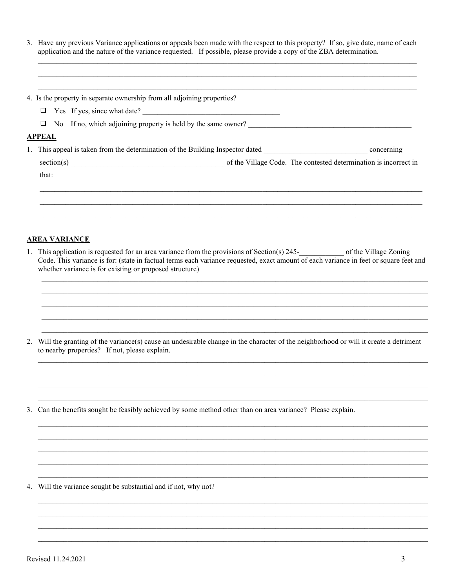3. Have any previous Variance applications or appeals been made with the respect to this property? If so, give date, name of each application and the nature of the variance requested. If possible, please provide a copy of

| 4. Is the property in separate ownership from all adjoining properties?                                                                                                                                                                                                                                                   |
|---------------------------------------------------------------------------------------------------------------------------------------------------------------------------------------------------------------------------------------------------------------------------------------------------------------------------|
| T Yes If yes, since what date?                                                                                                                                                                                                                                                                                            |
| No If no, which adjoining property is held by the same owner?<br>❏<br><u> 1989 - Johann Barbara, martxa alemaniar a</u>                                                                                                                                                                                                   |
| <b>APPEAL</b>                                                                                                                                                                                                                                                                                                             |
|                                                                                                                                                                                                                                                                                                                           |
|                                                                                                                                                                                                                                                                                                                           |
| that:                                                                                                                                                                                                                                                                                                                     |
| ,我们也不能在这里的时候,我们也不能在这里的时候,我们也不能会在这里的时候,我们也不能会在这里的时候,我们也不能会在这里的时候,我们也不能会在这里的时候,我们也                                                                                                                                                                                                                                          |
| <b>AREA VARIANCE</b>                                                                                                                                                                                                                                                                                                      |
| 1. This application is requested for an area variance from the provisions of Section(s) 245-<br>of the Village Zoning<br>Code. This variance is for: (state in factual terms each variance requested, exact amount of each variance in feet or square feet and<br>whether variance is for existing or proposed structure) |
|                                                                                                                                                                                                                                                                                                                           |
|                                                                                                                                                                                                                                                                                                                           |
| 2. Will the granting of the variance(s) cause an undesirable change in the character of the neighborhood or will it create a detriment<br>to nearby properties? If not, please explain.                                                                                                                                   |
|                                                                                                                                                                                                                                                                                                                           |
|                                                                                                                                                                                                                                                                                                                           |
| Can the benefits sought be feasibly achieved by some method other than on area variance? Please explain.                                                                                                                                                                                                                  |
|                                                                                                                                                                                                                                                                                                                           |
|                                                                                                                                                                                                                                                                                                                           |
|                                                                                                                                                                                                                                                                                                                           |
|                                                                                                                                                                                                                                                                                                                           |
| 4. Will the variance sought be substantial and if not, why not?                                                                                                                                                                                                                                                           |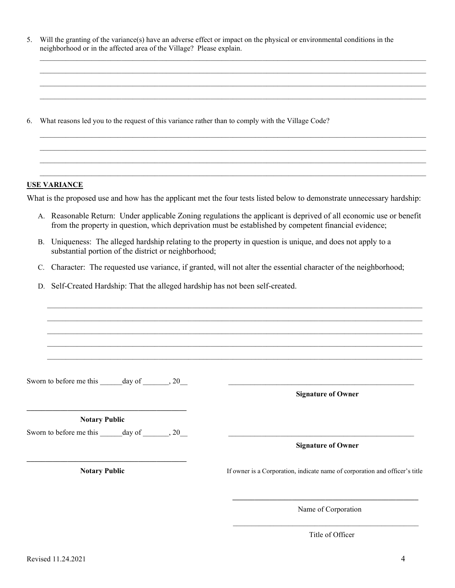| 5. Will the granting of the variance(s) have an adverse effect or impact on the physical or environmental conditions in the |
|-----------------------------------------------------------------------------------------------------------------------------|
| neighborhood or in the affected area of the Village? Please explain.                                                        |

 $\mathcal{L}_\text{max}$  and  $\mathcal{L}_\text{max}$  and  $\mathcal{L}_\text{max}$  and  $\mathcal{L}_\text{max}$  and  $\mathcal{L}_\text{max}$  and  $\mathcal{L}_\text{max}$  and  $\mathcal{L}_\text{max}$  $\mathcal{L}_\text{max}$  and  $\mathcal{L}_\text{max}$  and  $\mathcal{L}_\text{max}$  and  $\mathcal{L}_\text{max}$  and  $\mathcal{L}_\text{max}$  and  $\mathcal{L}_\text{max}$  and  $\mathcal{L}_\text{max}$  $\mathcal{L}_\text{max}$  , and the set of the set of the set of the set of the set of the set of the set of the set of the set of the set of the set of the set of the set of the set of the set of the set of the set of the set of the  $\mathcal{L}_\text{max}$  , and the set of the set of the set of the set of the set of the set of the set of the set of the set of the set of the set of the set of the set of the set of the set of the set of the set of the set of the

6. What reasons led you to the request of this variance rather than to comply with the Village Code?

#### **USE VARIANCE**

What is the proposed use and how has the applicant met the four tests listed below to demonstrate unnecessary hardship:

 $\mathcal{L}_\text{max}$  , and the set of the set of the set of the set of the set of the set of the set of the set of the set of the set of the set of the set of the set of the set of the set of the set of the set of the set of the  $\mathcal{L}_\text{max}$  , and the set of the set of the set of the set of the set of the set of the set of the set of the set of the set of the set of the set of the set of the set of the set of the set of the set of the set of the  $\mathcal{L}_\text{max}$  and  $\mathcal{L}_\text{max}$  and  $\mathcal{L}_\text{max}$  and  $\mathcal{L}_\text{max}$  and  $\mathcal{L}_\text{max}$  and  $\mathcal{L}_\text{max}$  and  $\mathcal{L}_\text{max}$  $\mathcal{L}_\text{max}$  and  $\mathcal{L}_\text{max}$  and  $\mathcal{L}_\text{max}$  and  $\mathcal{L}_\text{max}$  and  $\mathcal{L}_\text{max}$  and  $\mathcal{L}_\text{max}$  and  $\mathcal{L}_\text{max}$ 

- A. Reasonable Return: Under applicable Zoning regulations the applicant is deprived of all economic use or benefit from the property in question, which deprivation must be established by competent financial evidence;
- B. Uniqueness: The alleged hardship relating to the property in question is unique, and does not apply to a substantial portion of the district or neighborhood;
- C. Character: The requested use variance, if granted, will not alter the essential character of the neighborhood;

 $\overline{\phantom{a}}$  , and the set of the set of the set of the set of the set of the set of the set of the set of the set of the set of the set of the set of the set of the set of the set of the set of the set of the set of the s

D. Self-Created Hardship: That the alleged hardship has not been self-created.

| Sworn to before me this ______ day of _______, 20___                                                                                                                                                | <u> 1989 - Johann Barn, mars ann an t-Amhain an t-Amhain an t-Amhain an t-Amhain an t-Amhain an t-Amhain an t-A</u><br><b>Signature of Owner</b>   |
|-----------------------------------------------------------------------------------------------------------------------------------------------------------------------------------------------------|----------------------------------------------------------------------------------------------------------------------------------------------------|
| <u> 1989 - Johann Stein, markin fan it ferstjer fan de ferstjer fan it ferstjer fan de ferstjer fan de ferstjer</u><br><b>Notary Public</b><br>Sworn to before me this ______ day of _______, 20___ | <u> 1990 - Johann John Stein, markin film yn y brening yn y brening yn y brening yn y brening yn y brening yn y b</u><br><b>Signature of Owner</b> |
| <b>Notary Public</b>                                                                                                                                                                                | If owner is a Corporation, indicate name of corporation and officer's title                                                                        |
|                                                                                                                                                                                                     | Name of Corporation                                                                                                                                |
|                                                                                                                                                                                                     | Title of Officer                                                                                                                                   |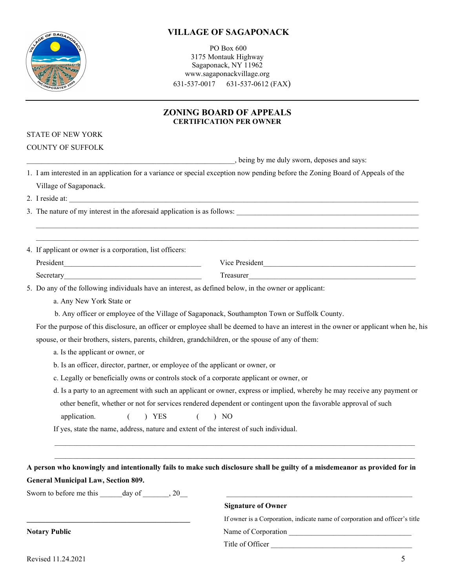$OF$  SAG

#### PO Box 600 3175 Montauk Highway Sagaponack, NY 11962 www.sagaponackvillage.org 631-537-0017 631-537-0612 (FAX)

### **ZONING BOARD OF APPEALS CERTIFICATION PER OWNER**

### STATE OF NEW YORK

COUNTY OF SUFFOLK

, being by me duly sworn, deposes and says:

| 1. I am interested in an application for a variance or special exception now pending before the Zoning Board of Appeals of the |
|--------------------------------------------------------------------------------------------------------------------------------|
| Village of Sagaponack.                                                                                                         |

2. I reside at:

3. The nature of my interest in the aforesaid application is as follows:

4. If applicant or owner is a corporation, list officers:

| ---- |  |
|------|--|

 $\overline{\phantom{a}}$  ,  $\overline{\phantom{a}}$  ,  $\overline{\phantom{a}}$  ,  $\overline{\phantom{a}}$  ,  $\overline{\phantom{a}}$  ,  $\overline{\phantom{a}}$  ,  $\overline{\phantom{a}}$  ,  $\overline{\phantom{a}}$  ,  $\overline{\phantom{a}}$  ,  $\overline{\phantom{a}}$  ,  $\overline{\phantom{a}}$  ,  $\overline{\phantom{a}}$  ,  $\overline{\phantom{a}}$  ,  $\overline{\phantom{a}}$  ,  $\overline{\phantom{a}}$  ,  $\overline{\phantom{a}}$  $\mathcal{L}_\text{max}$  and the state of the state of the state of the state of the state of the state of the state of the state of the state of the state of the state of the state of the state of the state of the state of the stat

5. Do any of the following individuals have an interest, as defined below, in the owner or applicant:

a. Any New York State or

b. Any officer or employee of the Village of Sagaponack, Southampton Town or Suffolk County.

 For the purpose of this disclosure, an officer or employee shall be deemed to have an interest in the owner or applicant when he, his spouse, or their brothers, sisters, parents, children, grandchildren, or the spouse of any of them:

- a. Is the applicant or owner, or
- b. Is an officer, director, partner, or employee of the applicant or owner, or
- c. Legally or beneficially owns or controls stock of a corporate applicant or owner, or
- d. Is a party to an agreement with such an applicant or owner, express or implied, whereby he may receive any payment or other benefit, whether or not for services rendered dependent or contingent upon the favorable approval of such application. ( ) YES ( ) NO

If yes, state the name, address, nature and extent of the interest of such individual.

| A person who knowingly and intentionally fails to make such disclosure shall be guilty of a misdemeanor as provided for in |  |
|----------------------------------------------------------------------------------------------------------------------------|--|
| <b>General Municipal Law, Section 809.</b>                                                                                 |  |

 $\mathcal{L}_\mathcal{L} = \mathcal{L}_\mathcal{L} = \mathcal{L}_\mathcal{L} = \mathcal{L}_\mathcal{L} = \mathcal{L}_\mathcal{L} = \mathcal{L}_\mathcal{L} = \mathcal{L}_\mathcal{L} = \mathcal{L}_\mathcal{L} = \mathcal{L}_\mathcal{L} = \mathcal{L}_\mathcal{L} = \mathcal{L}_\mathcal{L} = \mathcal{L}_\mathcal{L} = \mathcal{L}_\mathcal{L} = \mathcal{L}_\mathcal{L} = \mathcal{L}_\mathcal{L} = \mathcal{L}_\mathcal{L} = \mathcal{L}_\mathcal{L}$ \_\_\_\_\_\_\_\_\_\_\_\_\_\_\_\_\_\_\_\_\_\_\_\_\_\_\_\_\_\_\_\_\_\_\_\_\_\_\_\_\_\_\_\_\_\_\_\_\_\_\_\_\_\_\_\_\_\_\_\_\_\_\_\_\_\_\_\_\_\_\_\_\_\_\_\_\_\_\_\_\_\_\_\_\_\_\_\_\_\_\_\_\_\_\_\_\_

Sworn to before me this day of  $\qquad \qquad , 20$ 

#### **Signature of Owner**

|                      | If owner is a Corporation, indicate name of corporation and officer's title |
|----------------------|-----------------------------------------------------------------------------|
| <b>Notary Public</b> | Name of Corporation                                                         |

Title of Officer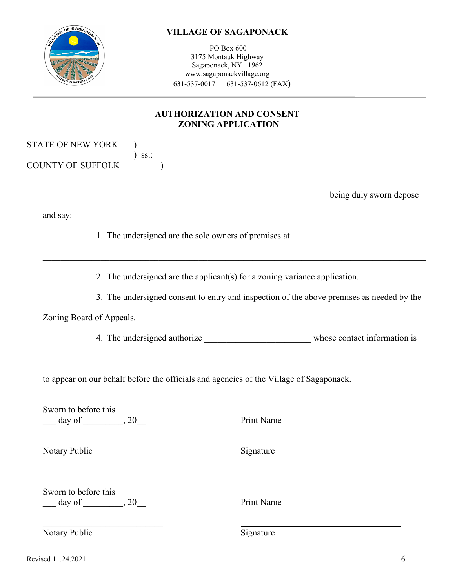| <b>STOR OF SAGARONAGE</b> |
|---------------------------|
| WCORPORATED 2005          |

PO Box 600 3175 Montauk Highway Sagaponack, NY 11962 www.sagaponackvillage.org 631-537-0017 631-537-0612 (FAX)

# **AUTHORIZATION AND CONSENT ZONING APPLICATION**

| STATE OF NEW YORK<br>$ss.$ :          |            |                                                                                                                                                                                                                                                                                                                                                                                   |
|---------------------------------------|------------|-----------------------------------------------------------------------------------------------------------------------------------------------------------------------------------------------------------------------------------------------------------------------------------------------------------------------------------------------------------------------------------|
|                                       |            |                                                                                                                                                                                                                                                                                                                                                                                   |
| <b>COUNTY OF SUFFOLK</b>              |            |                                                                                                                                                                                                                                                                                                                                                                                   |
|                                       |            |                                                                                                                                                                                                                                                                                                                                                                                   |
|                                       |            |                                                                                                                                                                                                                                                                                                                                                                                   |
|                                       |            |                                                                                                                                                                                                                                                                                                                                                                                   |
|                                       |            |                                                                                                                                                                                                                                                                                                                                                                                   |
|                                       |            |                                                                                                                                                                                                                                                                                                                                                                                   |
| Zoning Board of Appeals.              |            |                                                                                                                                                                                                                                                                                                                                                                                   |
|                                       |            |                                                                                                                                                                                                                                                                                                                                                                                   |
|                                       |            |                                                                                                                                                                                                                                                                                                                                                                                   |
| Sworn to before this                  | Print Name |                                                                                                                                                                                                                                                                                                                                                                                   |
| Notary Public                         | Signature  |                                                                                                                                                                                                                                                                                                                                                                                   |
| Sworn to before this<br>$day of$ , 20 | Print Name |                                                                                                                                                                                                                                                                                                                                                                                   |
|                                       |            | being duly sworn depose<br>1. The undersigned are the sole owners of premises at __________________________<br>2. The undersigned are the applicant(s) for a zoning variance application.<br>3. The undersigned consent to entry and inspection of the above premises as needed by the<br>to appear on our behalf before the officials and agencies of the Village of Sagaponack. |

Notary Public Signature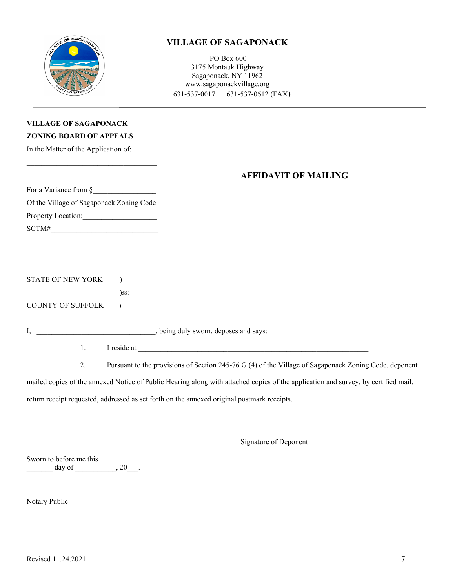

PO Box 600 3175 Montauk Highway Sagaponack, NY 11962 www.sagaponackvillage.org 631-537-0017 631-537-0612 (FAX)

## **VILLAGE OF SAGAPONACK ZONING BOARD OF APPEALS**

In the Matter of the Application of:

### \_\_\_\_\_\_\_\_\_\_\_\_\_\_\_\_\_\_\_\_\_\_\_\_\_\_\_\_\_\_\_\_\_\_\_ **AFFIDAVIT OF MAILING**

For a Variance from §\_\_\_\_\_\_\_\_\_\_\_\_\_\_\_\_\_ Of the Village of Sagaponack Zoning Code Property Location: SCTM#

 $\mathcal{L}_\mathcal{L}$  , and the set of the set of the set of the set of the set of the set of the set of the set of the set of the set of the set of the set of the set of the set of the set of the set of the set of the set of th

STATE OF NEW YORK )

)ss:

COUNTY OF SUFFOLK )

I, \_\_\_\_\_\_\_\_\_\_\_\_\_\_\_\_\_\_\_\_\_\_\_\_\_\_\_\_\_\_\_\_, being duly sworn, deposes and says:

1. I reside at  $\blacksquare$ 

2. Pursuant to the provisions of Section 245-76 G (4) of the Village of Sagaponack Zoning Code, deponent

mailed copies of the annexed Notice of Public Hearing along with attached copies of the application and survey, by certified mail,

\_\_\_\_\_\_\_\_\_\_\_\_\_\_\_\_\_\_\_\_\_\_\_\_\_\_\_\_\_\_\_\_\_\_\_\_\_\_\_\_\_\_\_\_\_\_\_\_\_\_\_\_\_\_\_\_\_\_\_\_\_\_\_\_\_\_\_\_\_\_\_\_\_\_\_\_\_\_\_\_\_\_\_\_\_\_\_\_\_\_\_\_\_\_\_\_\_\_\_\_\_\_\_\_\_\_\_

return receipt requested, addressed as set forth on the annexed original postmark receipts.

Signature of Deponent

 $\overline{\mathcal{L}}$  , and the set of the set of the set of the set of the set of the set of the set of the set of the set of the set of the set of the set of the set of the set of the set of the set of the set of the set of the s

Sworn to before me this  $\text{day of}$   $\qquad \qquad , 20$ 

\_\_\_\_\_\_\_\_\_\_\_\_\_\_\_\_\_\_\_\_\_\_\_\_\_\_\_\_\_\_\_\_\_\_

Notary Public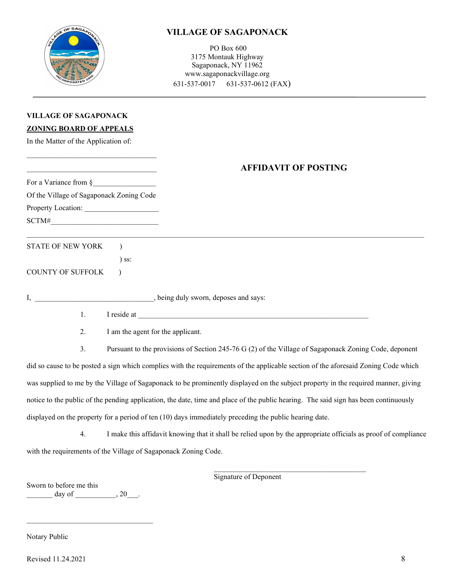

PO Box 600 3175 Montauk Highway Sagaponack, NY 11962 www.sagaponackvillage.org 631-537-0017 631-537-0612 (FAX)

## **VILLAGE OF SAGAPONACK**

#### **ZONING BOARD OF APPEALS**

In the Matter of the Application of:

 $\mathcal{L}_\text{max}$  and  $\mathcal{L}_\text{max}$  and  $\mathcal{L}_\text{max}$  and  $\mathcal{L}_\text{max}$ 

## \_\_\_\_\_\_\_\_\_\_\_\_\_\_\_\_\_\_\_\_\_\_\_\_\_\_\_\_\_\_\_\_\_\_\_ **AFFIDAVIT OF POSTING**

| For a Variance from §                    |             |
|------------------------------------------|-------------|
| Of the Village of Sagaponack Zoning Code |             |
|                                          |             |
| SCTM#                                    |             |
| STATE OF NEW YORK                        |             |
| ss:                                      |             |
| <b>COUNTY OF SUFFOLK</b>                 |             |
| I, being duly sworn, deposes and says:   |             |
| 1.                                       | I reside at |
| 2.<br>I am the agent for the applicant.  |             |

3. Pursuant to the provisions of Section 245-76 G (2) of the Village of Sagaponack Zoning Code, deponent did so cause to be posted a sign which complies with the requirements of the applicable section of the aforesaid Zoning Code which was supplied to me by the Village of Sagaponack to be prominently displayed on the subject property in the required manner, giving notice to the public of the pending application, the date, time and place of the public hearing. The said sign has been continuously displayed on the property for a period of ten (10) days immediately preceding the public hearing date.

4. I make this affidavit knowing that it shall be relied upon by the appropriate officials as proof of compliance with the requirements of the Village of Sagaponack Zoning Code.

Signature of Deponent

\_\_\_\_\_\_\_\_\_\_\_\_\_\_\_\_\_\_\_\_\_\_\_\_\_\_\_\_\_\_\_\_\_\_\_\_\_\_\_\_\_

Sworn to before me this  $\text{day of}$ , 20.

\_\_\_\_\_\_\_\_\_\_\_\_\_\_\_\_\_\_\_\_\_\_\_\_\_\_\_\_\_\_\_\_\_\_

Notary Public

Revised 11.24.2021 8